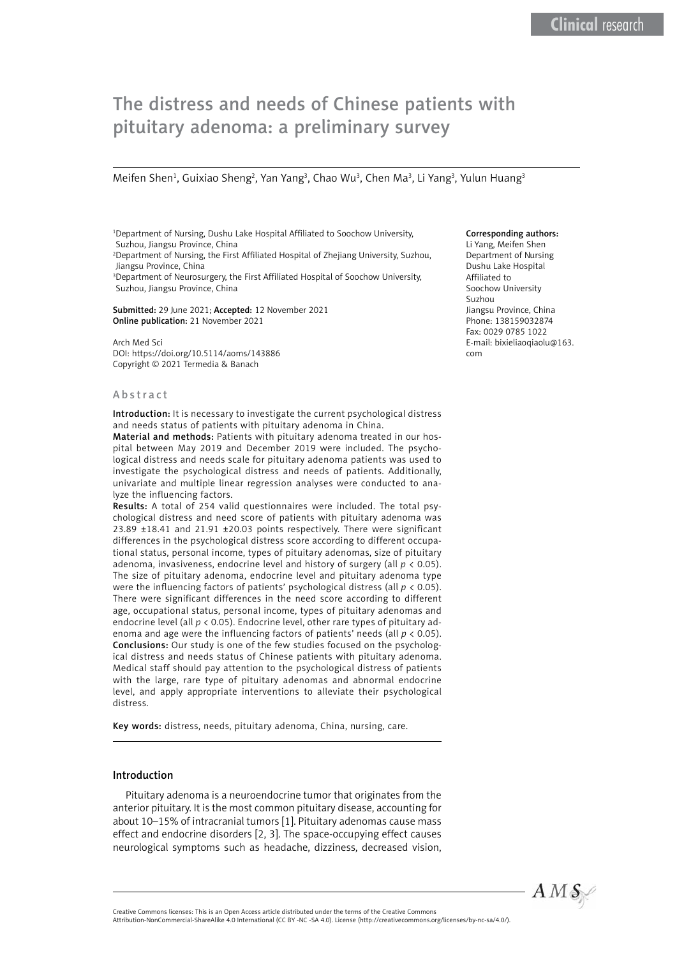# The distress and needs of Chinese patients with pituitary adenoma: a preliminary survey

Meifen Shen<sup>1</sup>, Guixiao Sheng<sup>2</sup>, Yan Yang<sup>3</sup>, Chao Wu<sup>3</sup>, Chen Ma<sup>3</sup>, Li Yang<sup>3</sup>, Yulun Huang<sup>3</sup>

1 Department of Nursing, Dushu Lake Hospital Affiliated to Soochow University, Suzhou, Jiangsu Province, China 2 Department of Nursing, the First Affiliated Hospital of Zhejiang University, Suzhou, Jiangsu Province, China

<sup>3</sup>Department of Neurosurgery, the First Affiliated Hospital of Soochow University, Suzhou, Jiangsu Province, China

Submitted: 29 June 2021; Accepted: 12 November 2021 Online publication: 21 November 2021

Arch Med Sci DOI: https://doi.org/10.5114/aoms/143886 Copyright © 2021 Termedia & Banach

#### Abstract

Introduction: It is necessary to investigate the current psychological distress and needs status of patients with pituitary adenoma in China.

Material and methods: Patients with pituitary adenoma treated in our hospital between May 2019 and December 2019 were included. The psychological distress and needs scale for pituitary adenoma patients was used to investigate the psychological distress and needs of patients. Additionally, univariate and multiple linear regression analyses were conducted to analyze the influencing factors.

Results: A total of 254 valid questionnaires were included. The total psychological distress and need score of patients with pituitary adenoma was 23.89 ±18.41 and 21.91 ±20.03 points respectively. There were significant differences in the psychological distress score according to different occupational status, personal income, types of pituitary adenomas, size of pituitary adenoma, invasiveness, endocrine level and history of surgery (all *p* < 0.05). The size of pituitary adenoma, endocrine level and pituitary adenoma type were the influencing factors of patients' psychological distress (all *p* < 0.05). There were significant differences in the need score according to different age, occupational status, personal income, types of pituitary adenomas and endocrine level (all *p* < 0.05). Endocrine level, other rare types of pituitary adenoma and age were the influencing factors of patients' needs (all *p* < 0.05). Conclusions: Our study is one of the few studies focused on the psychological distress and needs status of Chinese patients with pituitary adenoma. Medical staff should pay attention to the psychological distress of patients with the large, rare type of pituitary adenomas and abnormal endocrine level, and apply appropriate interventions to alleviate their psychological distress.

Key words: distress, needs, pituitary adenoma, China, nursing, care.

#### Introduction

Pituitary adenoma is a neuroendocrine tumor that originates from the anterior pituitary. It is the most common pituitary disease, accounting for about 10–15% of intracranial tumors [1]. Pituitary adenomas cause mass effect and endocrine disorders [2, 3]. The space-occupying effect causes neurological symptoms such as headache, dizziness, decreased vision,

# Corresponding authors:

Li Yang, Meifen Shen Department of Nursing Dushu Lake Hospital Affiliated to Soochow University Suzhou Jiangsu Province, China Phone: 138159032874 Fax: 0029 0785 1022 E-mail: bixieliaoqiaolu@163. com



Attribution-NonCommercial-ShareAlike 4.0 International (CC BY -NC -SA 4.0). License (http://creativecommons.org/licenses/by-nc-sa/4.0/).

Creative Commons licenses: This is an Open Access article distributed under the terms of the Creative Commons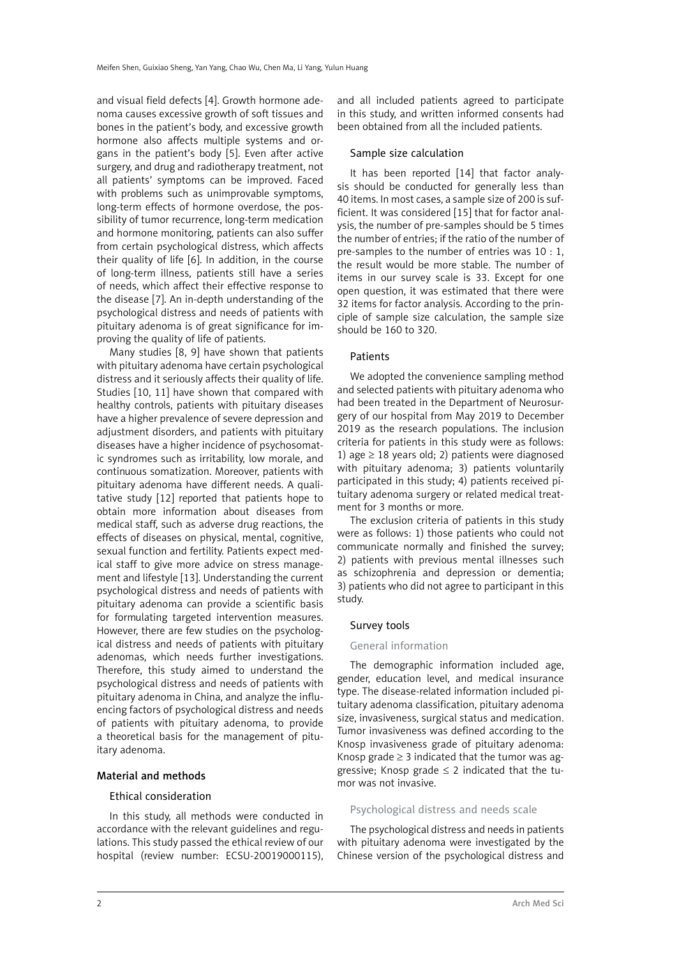and visual field defects [4]. Growth hormone adenoma causes excessive growth of soft tissues and bones in the patient's body, and excessive growth hormone also affects multiple systems and organs in the patient's body [5]. Even after active surgery, and drug and radiotherapy treatment, not all patients' symptoms can be improved. Faced with problems such as unimprovable symptoms, long-term effects of hormone overdose, the possibility of tumor recurrence, long-term medication and hormone monitoring, patients can also suffer from certain psychological distress, which affects their quality of life [6]. In addition, in the course of long-term illness, patients still have a series of needs, which affect their effective response to the disease [7]. An in-depth understanding of the psychological distress and needs of patients with pituitary adenoma is of great significance for improving the quality of life of patients.

Many studies [8, 9] have shown that patients with pituitary adenoma have certain psychological distress and it seriously affects their quality of life. Studies [10, 11] have shown that compared with healthy controls, patients with pituitary diseases have a higher prevalence of severe depression and adjustment disorders, and patients with pituitary diseases have a higher incidence of psychosomatic syndromes such as irritability, low morale, and continuous somatization. Moreover, patients with pituitary adenoma have different needs. A qualitative study [12] reported that patients hope to obtain more information about diseases from medical staff, such as adverse drug reactions, the effects of diseases on physical, mental, cognitive, sexual function and fertility. Patients expect medical staff to give more advice on stress management and lifestyle [13]. Understanding the current psychological distress and needs of patients with pituitary adenoma can provide a scientific basis for formulating targeted intervention measures. However, there are few studies on the psychological distress and needs of patients with pituitary adenomas, which needs further investigations. Therefore, this study aimed to understand the psychological distress and needs of patients with pituitary adenoma in China, and analyze the influencing factors of psychological distress and needs of patients with pituitary adenoma, to provide a theoretical basis for the management of pituitary adenoma.

## Material and methods

## Ethical consideration

In this study, all methods were conducted in accordance with the relevant guidelines and regulations. This study passed the ethical review of our hospital (review number: ECSU-20019000115),

and all included patients agreed to participate in this study, and written informed consents had been obtained from all the included patients.

#### Sample size calculation

It has been reported [14] that factor analysis should be conducted for generally less than 40 items. In most cases, a sample size of 200 is sufficient. It was considered [15] that for factor analysis, the number of pre-samples should be 5 times the number of entries; if the ratio of the number of pre-samples to the number of entries was 10 : 1, the result would be more stable. The number of items in our survey scale is 33. Except for one open question, it was estimated that there were 32 items for factor analysis. According to the principle of sample size calculation, the sample size should be 160 to 320.

#### **Patients**

We adopted the convenience sampling method and selected patients with pituitary adenoma who had been treated in the Department of Neurosurgery of our hospital from May 2019 to December 2019 as the research populations. The inclusion criteria for patients in this study were as follows: 1) age  $\geq$  18 years old; 2) patients were diagnosed with pituitary adenoma; 3) patients voluntarily participated in this study; 4) patients received pituitary adenoma surgery or related medical treatment for 3 months or more.

The exclusion criteria of patients in this study were as follows: 1) those patients who could not communicate normally and finished the survey; 2) patients with previous mental illnesses such as schizophrenia and depression or dementia; 3) patients who did not agree to participant in this study.

## Survey tools

# General information

The demographic information included age, gender, education level, and medical insurance type. The disease-related information included pituitary adenoma classification, pituitary adenoma size, invasiveness, surgical status and medication. Tumor invasiveness was defined according to the Knosp invasiveness grade of pituitary adenoma: Knosp grade  $\geq 3$  indicated that the tumor was aggressive; Knosp grade  $\leq$  2 indicated that the tumor was not invasive.

#### Psychological distress and needs scale

The psychological distress and needs in patients with pituitary adenoma were investigated by the Chinese version of the psychological distress and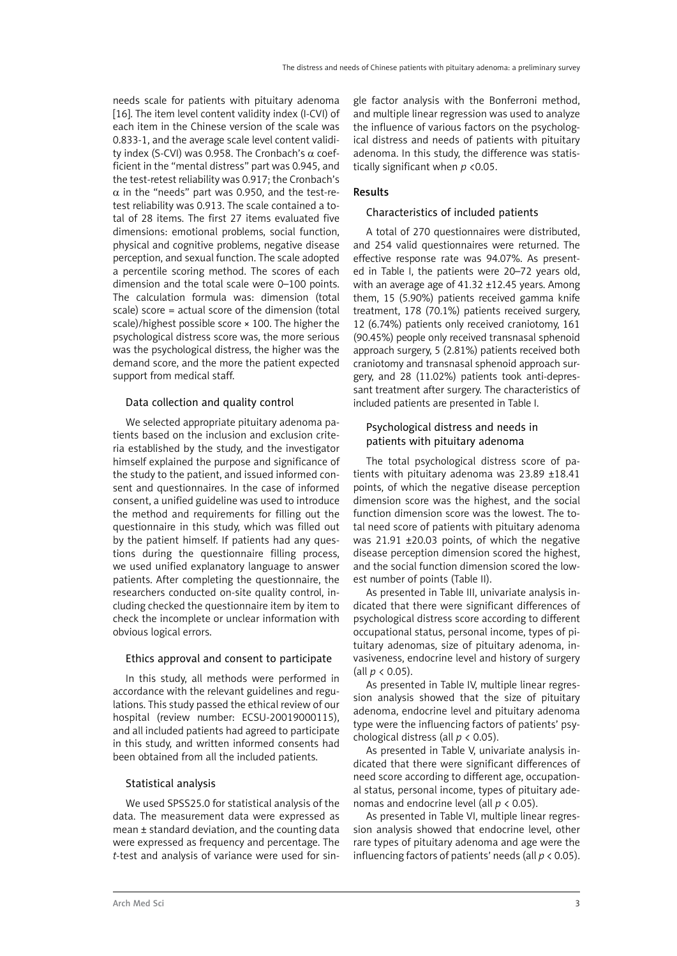needs scale for patients with pituitary adenoma [16]. The item level content validity index (I-CVI) of each item in the Chinese version of the scale was 0.833-1, and the average scale level content validity index (S-CVI) was 0.958. The Cronbach's α coefficient in the "mental distress" part was 0.945, and the test-retest reliability was 0.917; the Cronbach's  $\alpha$  in the "needs" part was 0.950, and the test-retest reliability was 0.913. The scale contained a total of 28 items. The first 27 items evaluated five dimensions: emotional problems, social function, physical and cognitive problems, negative disease perception, and sexual function. The scale adopted a percentile scoring method. The scores of each dimension and the total scale were 0–100 points. The calculation formula was: dimension (total scale) score = actual score of the dimension (total scale)/highest possible score × 100. The higher the psychological distress score was, the more serious was the psychological distress, the higher was the demand score, and the more the patient expected support from medical staff.

## Data collection and quality control

We selected appropriate pituitary adenoma patients based on the inclusion and exclusion criteria established by the study, and the investigator himself explained the purpose and significance of the study to the patient, and issued informed consent and questionnaires. In the case of informed consent, a unified guideline was used to introduce the method and requirements for filling out the questionnaire in this study, which was filled out by the patient himself. If patients had any questions during the questionnaire filling process, we used unified explanatory language to answer patients. After completing the questionnaire, the researchers conducted on-site quality control, including checked the questionnaire item by item to check the incomplete or unclear information with obvious logical errors.

## Ethics approval and consent to participate

In this study, all methods were performed in accordance with the relevant guidelines and regulations. This study passed the ethical review of our hospital (review number: ECSU-20019000115), and all included patients had agreed to participate in this study, and written informed consents had been obtained from all the included patients.

## Statistical analysis

We used SPSS25.0 for statistical analysis of the data. The measurement data were expressed as mean  $\pm$  standard deviation, and the counting data were expressed as frequency and percentage. The *t*-test and analysis of variance were used for sin-

gle factor analysis with the Bonferroni method, and multiple linear regression was used to analyze the influence of various factors on the psychological distress and needs of patients with pituitary adenoma. In this study, the difference was statistically significant when *p* <0.05.

# Results

## Characteristics of included patients

A total of 270 questionnaires were distributed, and 254 valid questionnaires were returned. The effective response rate was 94.07%. As presented in Table I, the patients were 20–72 years old, with an average age of 41.32 ±12.45 years. Among them, 15 (5.90%) patients received gamma knife treatment, 178 (70.1%) patients received surgery, 12 (6.74%) patients only received craniotomy, 161 (90.45%) people only received transnasal sphenoid approach surgery, 5 (2.81%) patients received both craniotomy and transnasal sphenoid approach surgery, and 28 (11.02%) patients took anti-depressant treatment after surgery. The characteristics of included patients are presented in Table I.

# Psychological distress and needs in patients with pituitary adenoma

The total psychological distress score of patients with pituitary adenoma was 23.89 ±18.41 points, of which the negative disease perception dimension score was the highest, and the social function dimension score was the lowest. The total need score of patients with pituitary adenoma was 21.91 ±20.03 points, of which the negative disease perception dimension scored the highest, and the social function dimension scored the lowest number of points (Table II).

As presented in Table III, univariate analysis indicated that there were significant differences of psychological distress score according to different occupational status, personal income, types of pituitary adenomas, size of pituitary adenoma, invasiveness, endocrine level and history of surgery (all *p* < 0.05).

As presented in Table IV, multiple linear regression analysis showed that the size of pituitary adenoma, endocrine level and pituitary adenoma type were the influencing factors of patients' psychological distress (all *p* < 0.05).

As presented in Table V, univariate analysis indicated that there were significant differences of need score according to different age, occupational status, personal income, types of pituitary adenomas and endocrine level (all *p* < 0.05).

As presented in Table VI, multiple linear regression analysis showed that endocrine level, other rare types of pituitary adenoma and age were the influencing factors of patients' needs (all *p* < 0.05).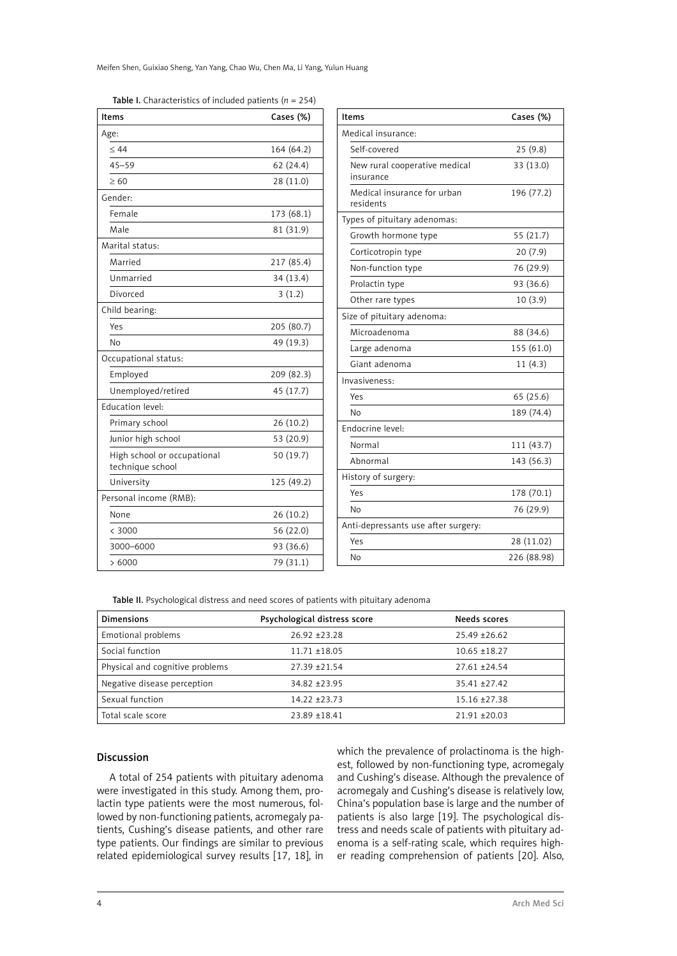Meifen Shen, Guixiao Sheng, Yan Yang, Chao Wu, Chen Ma, Li Yang, Yulun Huang

| <b>Items</b>                                    | Cases (%)  | <b>Items</b>                   |  |
|-------------------------------------------------|------------|--------------------------------|--|
| Age:                                            |            | Medical insurance:             |  |
| < 44                                            | 164 (64.2) | Self-covered                   |  |
| $45 - 59$                                       | 62(24.4)   | New rural coopera              |  |
| >60                                             | 28 (11.0)  | insurance                      |  |
| Gender:                                         |            | Medical insurance<br>residents |  |
| Female                                          | 173 (68.1) | Types of pituitary ad          |  |
| Male                                            | 81 (31.9)  | Growth hormone                 |  |
| Marital status:                                 |            | Corticotropin type             |  |
| Married                                         | 217 (85.4) | Non-function type              |  |
| Unmarried                                       | 34 (13.4)  | Prolactin type                 |  |
| Divorced                                        | 3(1.2)     | Other rare types               |  |
| Child bearing:                                  |            | Size of pituitary ade          |  |
| Yes                                             | 205 (80.7) | Microadenoma                   |  |
| <b>No</b>                                       | 49 (19.3)  | Large adenoma                  |  |
| Occupational status:                            |            | Giant adenoma                  |  |
| Employed                                        | 209 (82.3) | Invasiveness:                  |  |
| Unemployed/retired                              | 45 (17.7)  | Yes                            |  |
| Education level:                                |            | No                             |  |
| Primary school                                  | 26(10.2)   | Endocrine level:               |  |
| Junior high school                              | 53 (20.9)  | Normal                         |  |
| High school or occupational<br>technique school | 50 (19.7)  | Abnormal                       |  |
| University                                      | 125 (49.2) | History of surgery:            |  |
| Personal income (RMB):                          |            | Yes                            |  |
| None                                            | 26(10.2)   | No                             |  |
| < 3000                                          | 56 (22.0)  | Anti-depressants us            |  |
| 3000-6000                                       | 93 (36.6)  | Yes                            |  |
| >6000                                           | 79 (31.1)  | No                             |  |
|                                                 |            |                                |  |

Table I. Characteristics of included patients (*n* = 254)

| Items                                      | Cases (%)   |
|--------------------------------------------|-------------|
| Medical insurance:                         |             |
| Self-covered                               | 25(9.8)     |
| New rural cooperative medical<br>insurance | 33 (13.0)   |
| Medical insurance for urban<br>residents   | 196 (77.2)  |
| Types of pituitary adenomas:               |             |
| Growth hormone type                        | 55(21.7)    |
| Corticotropin type                         | 20 (7.9)    |
| Non-function type                          | 76 (29.9)   |
| Prolactin type                             | 93 (36.6)   |
| Other rare types                           | 10(3.9)     |
| Size of pituitary adenoma:                 |             |
| Microadenoma                               | 88 (34.6)   |
| Large adenoma                              | 155 (61.0)  |
| Giant adenoma                              | 11(4.3)     |
| Invasiveness:                              |             |
| Yes                                        | 65 (25.6)   |
| No                                         | 189 (74.4)  |
| Endocrine level:                           |             |
| Normal                                     | 111 (43.7)  |
| Abnormal                                   | 143 (56.3)  |
| History of surgery:                        |             |
| Yes                                        | 178 (70.1)  |
| No                                         | 76 (29.9)   |
| Anti-depressants use after surgery:        |             |
| Yes                                        | 28 (11.02)  |
| No                                         | 226 (88.98) |
|                                            |             |

Table II. Psychological distress and need scores of patients with pituitary adenoma

| <b>Dimensions</b>               | Psychological distress score | Needs scores      |
|---------------------------------|------------------------------|-------------------|
| Emotional problems              | $26.92 + 23.28$              | $25.49 \pm 26.62$ |
| Social function                 | $11.71 + 18.05$              | $10.65 + 18.27$   |
| Physical and cognitive problems | $27.39 + 21.54$              | $27.61 + 24.54$   |
| Negative disease perception     | $34.82 + 23.95$              | $35.41 + 27.42$   |
| Sexual function                 | $14.22 + 23.73$              | $15.16 + 27.38$   |
| Total scale score               | $23.89 + 18.41$              | $21.91 + 20.03$   |

#### Discussion

A total of 254 patients with pituitary adenoma were investigated in this study. Among them, prolactin type patients were the most numerous, followed by non-functioning patients, acromegaly patients, Cushing's disease patients, and other rare type patients. Our findings are similar to previous related epidemiological survey results [17, 18], in which the prevalence of prolactinoma is the highest, followed by non-functioning type, acromegaly and Cushing's disease. Although the prevalence of acromegaly and Cushing's disease is relatively low, China's population base is large and the number of patients is also large [19]. The psychological distress and needs scale of patients with pituitary adenoma is a self-rating scale, which requires higher reading comprehension of patients [20]. Also,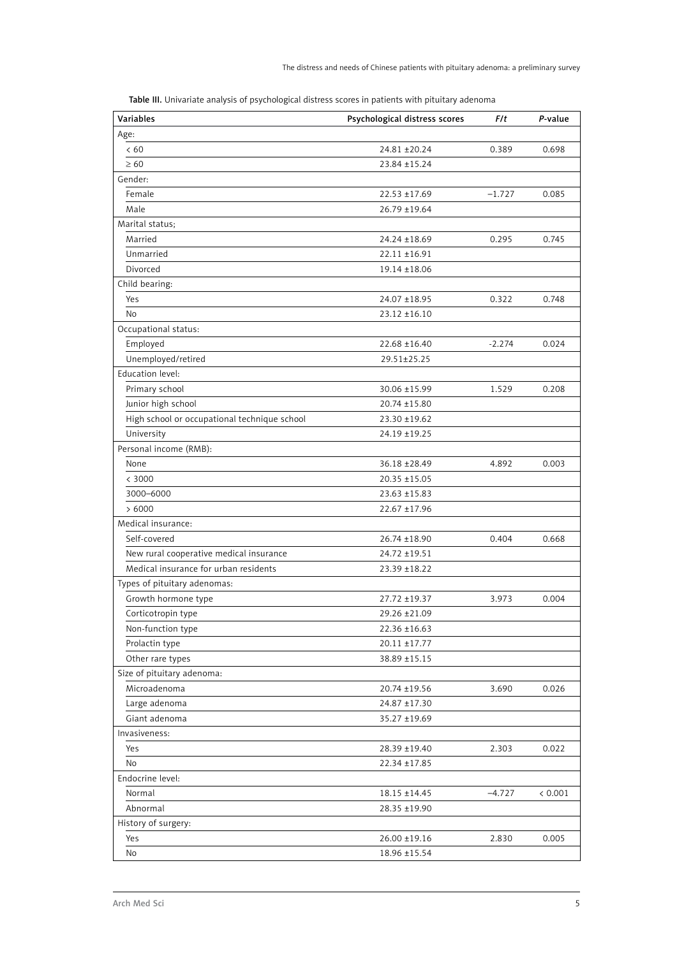| <b>Variables</b>                             | Psychological distress scores | F/t      | P-value |
|----------------------------------------------|-------------------------------|----------|---------|
| Age:                                         |                               |          |         |
| <60                                          | 24.81 ± 20.24                 | 0.389    | 0.698   |
| $\geq 60$                                    | 23.84 ±15.24                  |          |         |
| Gender:                                      |                               |          |         |
| Female                                       | $22.53 \pm 17.69$             | $-1.727$ | 0.085   |
| Male                                         | 26.79 ±19.64                  |          |         |
| Marital status;                              |                               |          |         |
| Married                                      | 24.24 ±18.69                  | 0.295    | 0.745   |
| Unmarried                                    | $22.11 \pm 16.91$             |          |         |
| Divorced                                     | $19.14 \pm 18.06$             |          |         |
| Child bearing:                               |                               |          |         |
| Yes                                          | 24.07 ±18.95                  | 0.322    | 0.748   |
| No                                           | $23.12 \pm 16.10$             |          |         |
| Occupational status:                         |                               |          |         |
| Employed                                     | $22.68 \pm 16.40$             | $-2.274$ | 0.024   |
| Unemployed/retired                           | 29.51±25.25                   |          |         |
| Education level:                             |                               |          |         |
| Primary school                               | 30.06 ±15.99                  | 1.529    | 0.208   |
| Junior high school                           | $20.74 \pm 15.80$             |          |         |
| High school or occupational technique school | 23.30 ±19.62                  |          |         |
| University                                   | 24.19 ±19.25                  |          |         |
| Personal income (RMB):                       |                               |          |         |
| None                                         | 36.18 ±28.49                  | 4.892    | 0.003   |
| < 3000                                       | $20.35 \pm 15.05$             |          |         |
| 3000-6000                                    | $23.63 \pm 15.83$             |          |         |
| >6000                                        | 22.67 ±17.96                  |          |         |
| Medical insurance:                           |                               |          |         |
| Self-covered                                 | 26.74 ±18.90                  | 0.404    | 0.668   |
| New rural cooperative medical insurance      | 24.72 ±19.51                  |          |         |
| Medical insurance for urban residents        | 23.39 ±18.22                  |          |         |
| Types of pituitary adenomas:                 |                               |          |         |
| Growth hormone type                          | 27.72 ±19.37                  | 3.973    | 0.004   |
| Corticotropin type                           | 29.26 ±21.09                  |          |         |
| Non-function type                            | 22.36 ±16.63                  |          |         |
| Prolactin type                               | $20.11 \pm 17.77$             |          |         |
| Other rare types                             | 38.89 ±15.15                  |          |         |
| Size of pituitary adenoma:                   |                               |          |         |
| Microadenoma                                 | 20.74 ±19.56                  | 3.690    | 0.026   |
| Large adenoma                                | 24.87 ±17.30                  |          |         |
| Giant adenoma                                | 35.27 ±19.69                  |          |         |
| Invasiveness:                                |                               |          |         |
| Yes                                          | 28.39 ±19.40                  | 2.303    | 0.022   |
| No                                           | 22.34 ±17.85                  |          |         |
| Endocrine level:                             |                               |          |         |
| Normal                                       | $18.15 \pm 14.45$             | $-4.727$ | < 0.001 |
| Abnormal                                     | 28.35 ±19.90                  |          |         |
| History of surgery:                          |                               |          |         |
| Yes                                          | 26.00 ±19.16                  | 2.830    | 0.005   |
| No                                           | 18.96 ±15.54                  |          |         |

Table III. Univariate analysis of psychological distress scores in patients with pituitary adenoma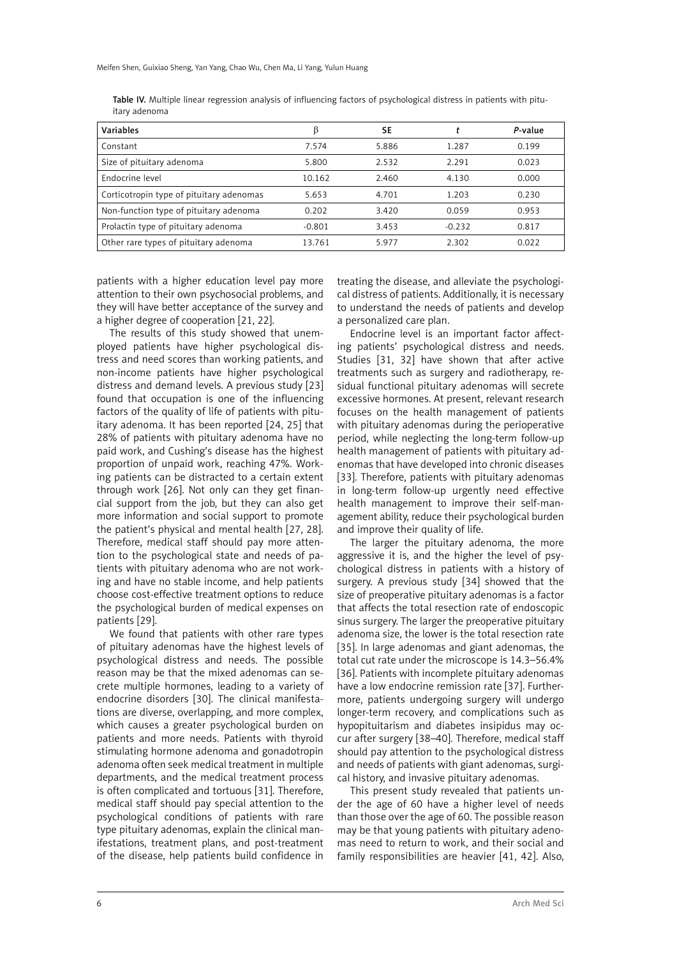|               |  |  |  | Table IV. Multiple linear regression analysis of influencing factors of psychological distress in patients with pitu- |  |  |
|---------------|--|--|--|-----------------------------------------------------------------------------------------------------------------------|--|--|
| itary adenoma |  |  |  |                                                                                                                       |  |  |

| Variables                                | ß        | SE    |          | P-value |
|------------------------------------------|----------|-------|----------|---------|
| Constant                                 | 7.574    | 5.886 | 1.287    | 0.199   |
| Size of pituitary adenoma                | 5.800    | 2.532 | 2.291    | 0.023   |
| Endocrine level                          | 10.162   | 2.460 | 4.130    | 0.000   |
| Corticotropin type of pituitary adenomas | 5.653    | 4.701 | 1.203    | 0.230   |
| Non-function type of pituitary adenoma   | 0.202    | 3.420 | 0.059    | 0.953   |
| Prolactin type of pituitary adenoma      | $-0.801$ | 3.453 | $-0.232$ | 0.817   |
| Other rare types of pituitary adenoma    | 13.761   | 5.977 | 2.302    | 0.022   |

patients with a higher education level pay more attention to their own psychosocial problems, and they will have better acceptance of the survey and a higher degree of cooperation [21, 22].

The results of this study showed that unemployed patients have higher psychological distress and need scores than working patients, and non-income patients have higher psychological distress and demand levels. A previous study [23] found that occupation is one of the influencing factors of the quality of life of patients with pituitary adenoma. It has been reported [24, 25] that 28% of patients with pituitary adenoma have no paid work, and Cushing's disease has the highest proportion of unpaid work, reaching 47%. Working patients can be distracted to a certain extent through work [26]. Not only can they get financial support from the job, but they can also get more information and social support to promote the patient's physical and mental health [27, 28]. Therefore, medical staff should pay more attention to the psychological state and needs of patients with pituitary adenoma who are not working and have no stable income, and help patients choose cost-effective treatment options to reduce the psychological burden of medical expenses on patients [29].

We found that patients with other rare types of pituitary adenomas have the highest levels of psychological distress and needs. The possible reason may be that the mixed adenomas can secrete multiple hormones, leading to a variety of endocrine disorders [30]. The clinical manifestations are diverse, overlapping, and more complex, which causes a greater psychological burden on patients and more needs. Patients with thyroid stimulating hormone adenoma and gonadotropin adenoma often seek medical treatment in multiple departments, and the medical treatment process is often complicated and tortuous [31]. Therefore, medical staff should pay special attention to the psychological conditions of patients with rare type pituitary adenomas, explain the clinical manifestations, treatment plans, and post-treatment of the disease, help patients build confidence in treating the disease, and alleviate the psychological distress of patients. Additionally, it is necessary to understand the needs of patients and develop a personalized care plan.

Endocrine level is an important factor affecting patients' psychological distress and needs. Studies [31, 32] have shown that after active treatments such as surgery and radiotherapy, residual functional pituitary adenomas will secrete excessive hormones. At present, relevant research focuses on the health management of patients with pituitary adenomas during the perioperative period, while neglecting the long-term follow-up health management of patients with pituitary adenomas that have developed into chronic diseases [33]. Therefore, patients with pituitary adenomas in long-term follow-up urgently need effective health management to improve their self-management ability, reduce their psychological burden and improve their quality of life.

The larger the pituitary adenoma, the more aggressive it is, and the higher the level of psychological distress in patients with a history of surgery. A previous study [34] showed that the size of preoperative pituitary adenomas is a factor that affects the total resection rate of endoscopic sinus surgery. The larger the preoperative pituitary adenoma size, the lower is the total resection rate [35]. In large adenomas and giant adenomas, the total cut rate under the microscope is 14.3–56.4% [36]. Patients with incomplete pituitary adenomas have a low endocrine remission rate [37]. Furthermore, patients undergoing surgery will undergo longer-term recovery, and complications such as hypopituitarism and diabetes insipidus may occur after surgery [38–40]. Therefore, medical staff should pay attention to the psychological distress and needs of patients with giant adenomas, surgical history, and invasive pituitary adenomas.

This present study revealed that patients under the age of 60 have a higher level of needs than those over the age of 60. The possible reason may be that young patients with pituitary adenomas need to return to work, and their social and family responsibilities are heavier [41, 42]. Also,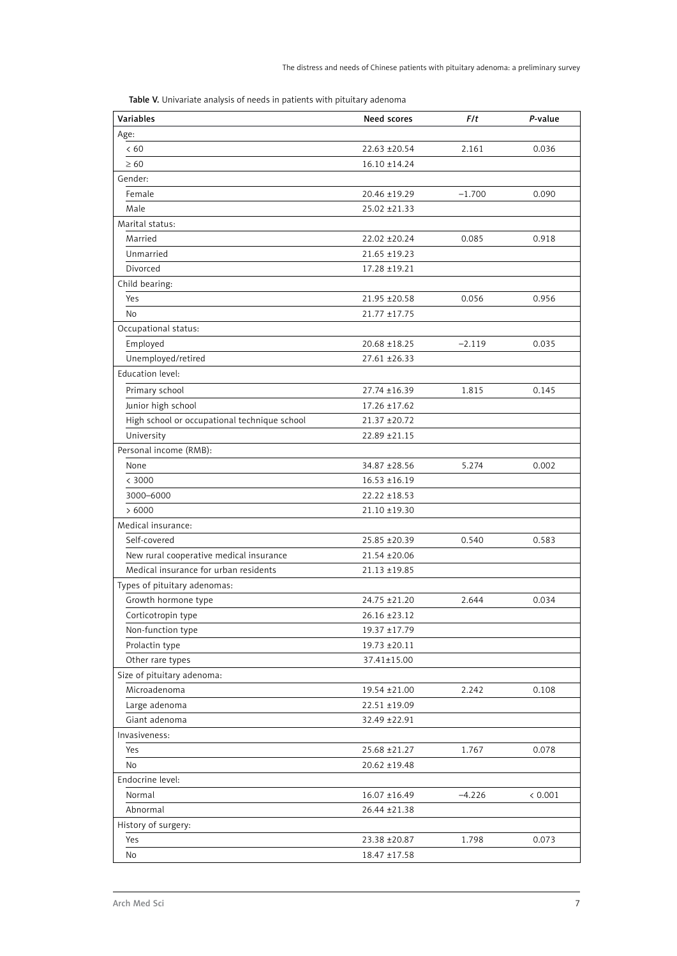Table V. Univariate analysis of needs in patients with pituitary adenoma

| <b>Variables</b>                             | Need scores       | F/t      | P-value |
|----------------------------------------------|-------------------|----------|---------|
| Age:                                         |                   |          |         |
| < 60                                         | 22.63 ±20.54      | 2.161    | 0.036   |
| $\geq 60$                                    | $16.10 \pm 14.24$ |          |         |
| Gender:                                      |                   |          |         |
| Female                                       | 20.46 ±19.29      | $-1.700$ | 0.090   |
| Male                                         | 25.02 ± 21.33     |          |         |
| Marital status:                              |                   |          |         |
| Married                                      | 22.02 ± 20.24     | 0.085    | 0.918   |
| Unmarried                                    | $21.65 \pm 19.23$ |          |         |
| Divorced                                     | 17.28 ±19.21      |          |         |
| Child bearing:                               |                   |          |         |
| Yes                                          | 21.95 ±20.58      | 0.056    | 0.956   |
| <b>No</b>                                    | $21.77 \pm 17.75$ |          |         |
| Occupational status:                         |                   |          |         |
| Employed                                     | 20.68 ±18.25      | $-2.119$ | 0.035   |
| Unemployed/retired                           | $27.61 \pm 26.33$ |          |         |
| Education level:                             |                   |          |         |
| Primary school                               | 27.74 ±16.39      | 1.815    | 0.145   |
| Junior high school                           | $17.26 \pm 17.62$ |          |         |
| High school or occupational technique school | 21.37 ±20.72      |          |         |
| University                                   | 22.89 ± 21.15     |          |         |
| Personal income (RMB):                       |                   |          |         |
| None                                         | 34.87 ±28.56      | 5.274    | 0.002   |
| < 3000                                       | $16.53 \pm 16.19$ |          |         |
| 3000-6000                                    | $22.22 \pm 18.53$ |          |         |
| >6000                                        | 21.10 ±19.30      |          |         |
| Medical insurance:                           |                   |          |         |
| Self-covered                                 | 25.85 ±20.39      | 0.540    | 0.583   |
| New rural cooperative medical insurance      | 21.54 ±20.06      |          |         |
| Medical insurance for urban residents        | 21.13 ±19.85      |          |         |
| Types of pituitary adenomas:                 |                   |          |         |
| Growth hormone type                          | 24.75 ±21.20      | 2.644    | 0.034   |
| Corticotropin type                           | 26.16 ±23.12      |          |         |
| Non-function type                            | 19.37 ±17.79      |          |         |
| Prolactin type                               | 19.73 ±20.11      |          |         |
| Other rare types                             | 37.41±15.00       |          |         |
| Size of pituitary adenoma:                   |                   |          |         |
| Microadenoma                                 | 19.54 ±21.00      | 2.242    | 0.108   |
| Large adenoma                                | 22.51 ±19.09      |          |         |
| Giant adenoma                                | 32.49 ±22.91      |          |         |
| Invasiveness:                                |                   |          |         |
| Yes                                          | 25.68 ±21.27      | 1.767    | 0.078   |
| No                                           | 20.62 ±19.48      |          |         |
| Endocrine level:                             |                   |          |         |
| Normal                                       | $16.07 \pm 16.49$ | $-4.226$ | < 0.001 |
| Abnormal                                     | 26.44 ± 21.38     |          |         |
| History of surgery:                          |                   |          |         |
| Yes                                          | 23.38 ± 20.87     | 1.798    | 0.073   |
| No                                           | 18.47 ±17.58      |          |         |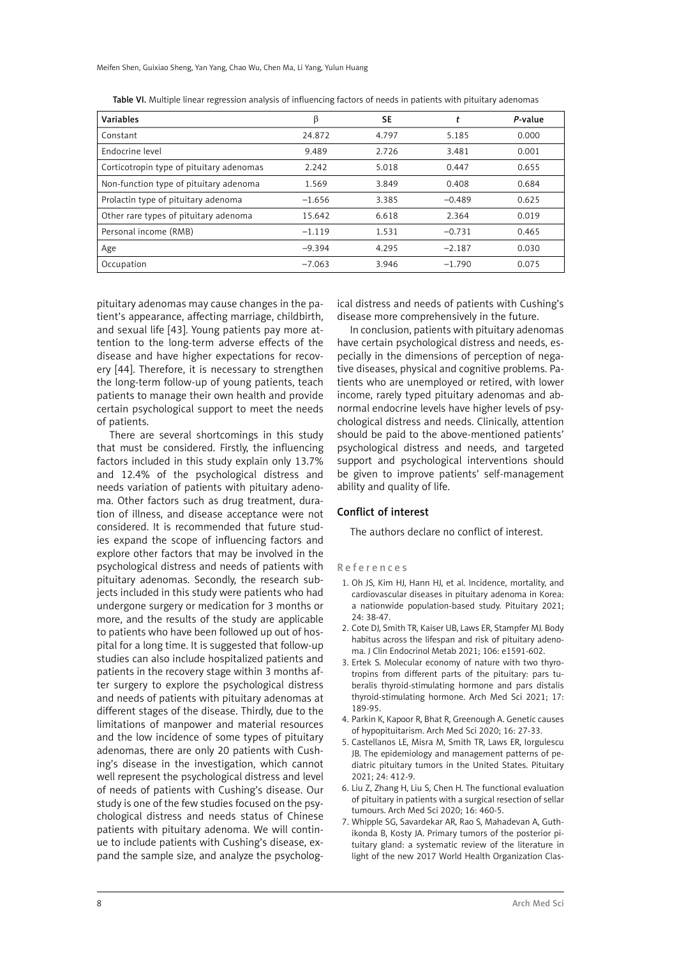Meifen Shen, Guixiao Sheng, Yan Yang, Chao Wu, Chen Ma, Li Yang, Yulun Huang

| Variables                                | β        | SE    |          | P-value |
|------------------------------------------|----------|-------|----------|---------|
| Constant                                 | 24.872   | 4.797 | 5.185    | 0.000   |
| Endocrine level                          | 9.489    | 2.726 | 3.481    | 0.001   |
| Corticotropin type of pituitary adenomas | 2.242    | 5.018 | 0.447    | 0.655   |
| Non-function type of pituitary adenoma   | 1.569    | 3.849 | 0.408    | 0.684   |
| Prolactin type of pituitary adenoma      | $-1.656$ | 3.385 | $-0.489$ | 0.625   |
| Other rare types of pituitary adenoma    | 15.642   | 6.618 | 2.364    | 0.019   |
| Personal income (RMB)                    | $-1.119$ | 1.531 | $-0.731$ | 0.465   |
| Age                                      | $-9.394$ | 4.295 | $-2.187$ | 0.030   |
| Occupation                               | $-7.063$ | 3.946 | $-1.790$ | 0.075   |

Table VI. Multiple linear regression analysis of influencing factors of needs in patients with pituitary adenomas

pituitary adenomas may cause changes in the patient's appearance, affecting marriage, childbirth, and sexual life [43]. Young patients pay more attention to the long-term adverse effects of the disease and have higher expectations for recovery [44]. Therefore, it is necessary to strengthen the long-term follow-up of young patients, teach patients to manage their own health and provide certain psychological support to meet the needs of patients.

There are several shortcomings in this study that must be considered. Firstly, the influencing factors included in this study explain only 13.7% and 12.4% of the psychological distress and needs variation of patients with pituitary adenoma. Other factors such as drug treatment, duration of illness, and disease acceptance were not considered. It is recommended that future studies expand the scope of influencing factors and explore other factors that may be involved in the psychological distress and needs of patients with pituitary adenomas. Secondly, the research subjects included in this study were patients who had undergone surgery or medication for 3 months or more, and the results of the study are applicable to patients who have been followed up out of hospital for a long time. It is suggested that follow-up studies can also include hospitalized patients and patients in the recovery stage within 3 months after surgery to explore the psychological distress and needs of patients with pituitary adenomas at different stages of the disease. Thirdly, due to the limitations of manpower and material resources and the low incidence of some types of pituitary adenomas, there are only 20 patients with Cushing's disease in the investigation, which cannot well represent the psychological distress and level of needs of patients with Cushing's disease. Our study is one of the few studies focused on the psychological distress and needs status of Chinese patients with pituitary adenoma. We will continue to include patients with Cushing's disease, expand the sample size, and analyze the psychological distress and needs of patients with Cushing's disease more comprehensively in the future.

In conclusion, patients with pituitary adenomas have certain psychological distress and needs, especially in the dimensions of perception of negative diseases, physical and cognitive problems. Patients who are unemployed or retired, with lower income, rarely typed pituitary adenomas and abnormal endocrine levels have higher levels of psychological distress and needs. Clinically, attention should be paid to the above-mentioned patients' psychological distress and needs, and targeted support and psychological interventions should be given to improve patients' self-management ability and quality of life.

#### Conflict of interest

The authors declare no conflict of interest.

References

- 1. Oh JS, Kim HJ, Hann HJ, et al. Incidence, mortality, and cardiovascular diseases in pituitary adenoma in Korea: a nationwide population-based study. Pituitary 2021; 24: 38-47.
- 2. Cote DJ, Smith TR, Kaiser UB, Laws ER, Stampfer MJ. Body habitus across the lifespan and risk of pituitary adenoma. J Clin Endocrinol Metab 2021; 106: e1591-602.
- 3. Ertek S. Molecular economy of nature with two thyrotropins from different parts of the pituitary: pars tuberalis thyroid-stimulating hormone and pars distalis thyroid-stimulating hormone. Arch Med Sci 2021; 17: 189-95.
- 4. Parkin K, Kapoor R, Bhat R, Greenough A. Genetic causes of hypopituitarism. Arch Med Sci 2020; 16: 27-33.
- 5. Castellanos LE, Misra M, Smith TR, Laws ER, Iorgulescu JB. The epidemiology and management patterns of pediatric pituitary tumors in the United States. Pituitary 2021; 24: 412-9.
- 6. Liu Z, Zhang H, Liu S, Chen H. The functional evaluation of pituitary in patients with a surgical resection of sellar tumours. Arch Med Sci 2020; 16: 460-5.
- 7. Whipple SG, Savardekar AR, Rao S, Mahadevan A, Guthikonda B, Kosty JA. Primary tumors of the posterior pituitary gland: a systematic review of the literature in light of the new 2017 World Health Organization Clas-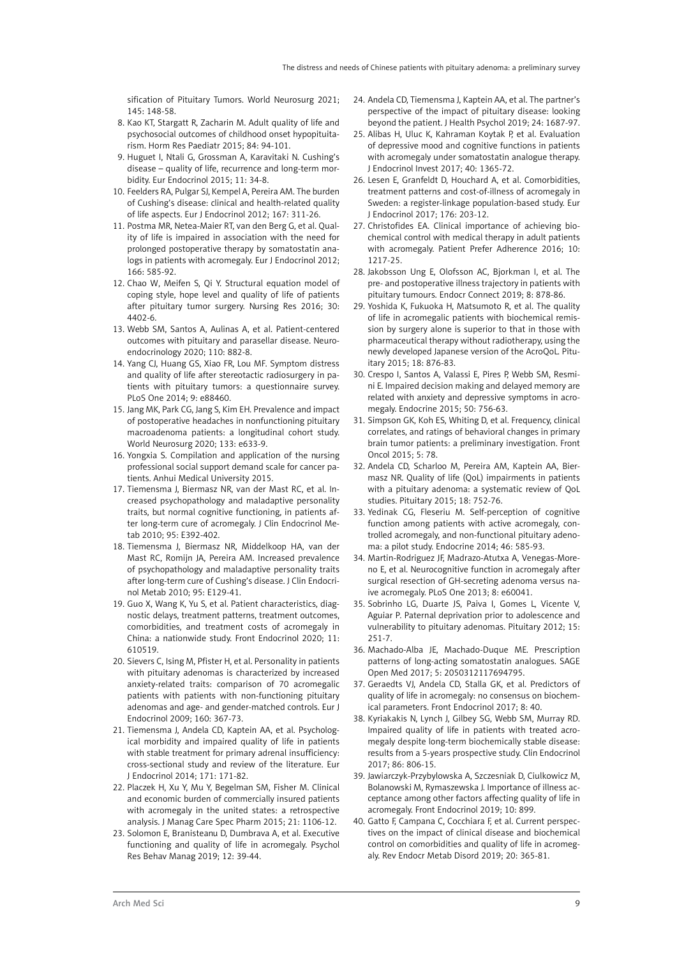sification of Pituitary Tumors. World Neurosurg 2021; 145: 148-58.

- 8. Kao KT, Stargatt R, Zacharin M. Adult quality of life and psychosocial outcomes of childhood onset hypopituitarism. Horm Res Paediatr 2015; 84: 94-101.
- 9. Huguet I, Ntali G, Grossman A, Karavitaki N. Cushing's disease – quality of life, recurrence and long-term morbidity. Eur Endocrinol 2015; 11: 34-8.
- 10. Feelders RA, Pulgar SJ, Kempel A, Pereira AM. The burden of Cushing's disease: clinical and health-related quality of life aspects. Eur J Endocrinol 2012; 167: 311-26.
- 11. Postma MR, Netea-Maier RT, van den Berg G, et al. Quality of life is impaired in association with the need for prolonged postoperative therapy by somatostatin analogs in patients with acromegaly. Eur J Endocrinol 2012; 166: 585-92.
- 12. Chao W, Meifen S, Qi Y. Structural equation model of coping style, hope level and quality of life of patients after pituitary tumor surgery. Nursing Res 2016; 30: 4402-6.
- 13. Webb SM, Santos A, Aulinas A, et al. Patient-centered outcomes with pituitary and parasellar disease. Neuroendocrinology 2020; 110: 882-8.
- 14. Yang CJ, Huang GS, Xiao FR, Lou MF. Symptom distress and quality of life after stereotactic radiosurgery in patients with pituitary tumors: a questionnaire survey. PLoS One 2014; 9: e88460.
- 15. Jang MK, Park CG, Jang S, Kim EH. Prevalence and impact of postoperative headaches in nonfunctioning pituitary macroadenoma patients: a longitudinal cohort study. World Neurosurg 2020; 133: e633-9.
- 16. Yongxia S. Compilation and application of the nursing professional social support demand scale for cancer patients. Anhui Medical University 2015.
- 17. Tiemensma J, Biermasz NR, van der Mast RC, et al. Increased psychopathology and maladaptive personality traits, but normal cognitive functioning, in patients after long-term cure of acromegaly. J Clin Endocrinol Metab 2010; 95: E392-402.
- 18. Tiemensma J, Biermasz NR, Middelkoop HA, van der Mast RC, Romijn JA, Pereira AM. Increased prevalence of psychopathology and maladaptive personality traits after long-term cure of Cushing's disease. J Clin Endocrinol Metab 2010; 95: E129-41.
- 19. Guo X, Wang K, Yu S, et al. Patient characteristics, diagnostic delays, treatment patterns, treatment outcomes, comorbidities, and treatment costs of acromegaly in China: a nationwide study. Front Endocrinol 2020; 11: 610519.
- 20. Sievers C, Ising M, Pfister H, et al. Personality in patients with pituitary adenomas is characterized by increased anxiety-related traits: comparison of 70 acromegalic patients with patients with non-functioning pituitary adenomas and age- and gender-matched controls. Eur J Endocrinol 2009; 160: 367-73.
- 21. Tiemensma J, Andela CD, Kaptein AA, et al. Psychological morbidity and impaired quality of life in patients with stable treatment for primary adrenal insufficiency: cross-sectional study and review of the literature. Eur J Endocrinol 2014; 171: 171-82.
- 22. Placzek H, Xu Y, Mu Y, Begelman SM, Fisher M. Clinical and economic burden of commercially insured patients with acromegaly in the united states: a retrospective analysis. J Manag Care Spec Pharm 2015; 21: 1106-12.
- 23. Solomon E, Branisteanu D, Dumbrava A, et al. Executive functioning and quality of life in acromegaly. Psychol Res Behav Manag 2019; 12: 39-44.
- 24. Andela CD, Tiemensma J, Kaptein AA, et al. The partner's perspective of the impact of pituitary disease: looking beyond the patient. J Health Psychol 2019; 24: 1687-97.
- 25. Alibas H, Uluc K, Kahraman Koytak P, et al. Evaluation of depressive mood and cognitive functions in patients with acromegaly under somatostatin analogue therapy. J Endocrinol Invest 2017; 40: 1365-72.
- 26. Lesen E, Granfeldt D, Houchard A, et al. Comorbidities, treatment patterns and cost-of-illness of acromegaly in Sweden: a register-linkage population-based study. Eur J Endocrinol 2017; 176: 203-12.
- 27. Christofides EA. Clinical importance of achieving biochemical control with medical therapy in adult patients with acromegaly. Patient Prefer Adherence 2016; 10: 1217-25.
- 28. Jakobsson Ung E, Olofsson AC, Bjorkman I, et al. The pre- and postoperative illness trajectory in patients with pituitary tumours. Endocr Connect 2019; 8: 878-86.
- 29. Yoshida K, Fukuoka H, Matsumoto R, et al. The quality of life in acromegalic patients with biochemical remission by surgery alone is superior to that in those with pharmaceutical therapy without radiotherapy, using the newly developed Japanese version of the AcroQoL. Pituitary 2015; 18: 876-83.
- 30. Crespo I, Santos A, Valassi E, Pires P, Webb SM, Resmini E. Impaired decision making and delayed memory are related with anxiety and depressive symptoms in acromegaly. Endocrine 2015; 50: 756-63.
- 31. Simpson GK, Koh ES, Whiting D, et al. Frequency, clinical correlates, and ratings of behavioral changes in primary brain tumor patients: a preliminary investigation. Front Oncol 2015; 5: 78.
- 32. Andela CD, Scharloo M, Pereira AM, Kaptein AA, Biermasz NR. Quality of life (QoL) impairments in patients with a pituitary adenoma: a systematic review of QoL studies. Pituitary 2015; 18: 752-76.
- 33. Yedinak CG, Fleseriu M. Self-perception of cognitive function among patients with active acromegaly, controlled acromegaly, and non-functional pituitary adenoma: a pilot study. Endocrine 2014; 46: 585-93.
- 34. Martin-Rodriguez JF, Madrazo-Atutxa A, Venegas-Moreno E, et al. Neurocognitive function in acromegaly after surgical resection of GH-secreting adenoma versus naive acromegaly. PLoS One 2013; 8: e60041.
- 35. Sobrinho LG, Duarte JS, Paiva I, Gomes L, Vicente V, Aguiar P. Paternal deprivation prior to adolescence and vulnerability to pituitary adenomas. Pituitary 2012; 15: 251-7.
- 36. Machado-Alba JE, Machado-Duque ME. Prescription patterns of long-acting somatostatin analogues. SAGE Open Med 2017; 5: 2050312117694795.
- 37. Geraedts VJ, Andela CD, Stalla GK, et al. Predictors of quality of life in acromegaly: no consensus on biochemical parameters. Front Endocrinol 2017; 8: 40.
- 38. Kyriakakis N, Lynch J, Gilbey SG, Webb SM, Murray RD. Impaired quality of life in patients with treated acromegaly despite long-term biochemically stable disease: results from a 5-years prospective study. Clin Endocrinol 2017; 86: 806-15.
- 39. Jawiarczyk-Przybylowska A, Szczesniak D, Ciulkowicz M, Bolanowski M, Rymaszewska J. Importance of illness acceptance among other factors affecting quality of life in acromegaly. Front Endocrinol 2019; 10: 899.
- 40. Gatto F, Campana C, Cocchiara F, et al. Current perspectives on the impact of clinical disease and biochemical control on comorbidities and quality of life in acromegaly. Rev Endocr Metab Disord 2019; 20: 365-81.